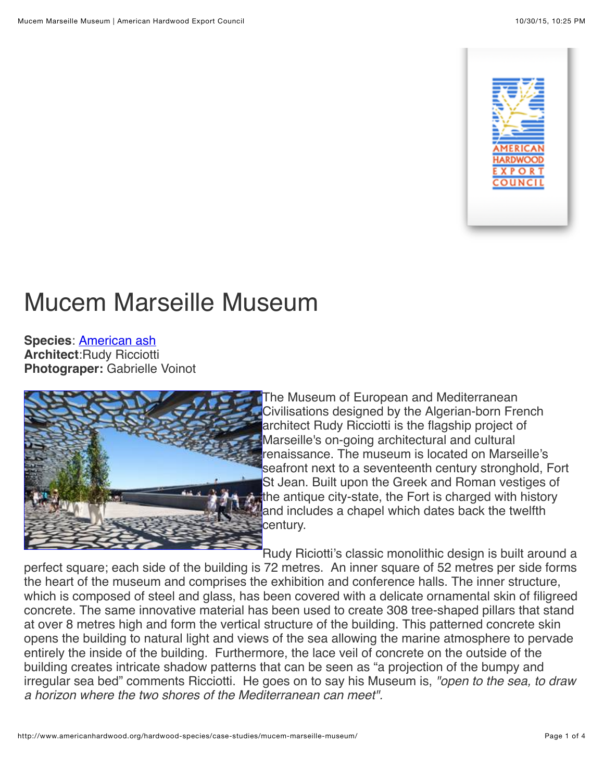

# Mucem Marseille Museum

**Species**: [American ash](http://americanhardwood.org/hardwood-species/species-guide/species/american-ash/?no_cache=1) **Architect**:Rudy Ricciotti **Photograper:** Gabrielle Voinot



The Museum of European and Mediterranean Civilisations designed by the Algerian-born French architect Rudy Ricciotti is the flagship project of Marseille's on-going architectural and cultural renaissance. The museum is located on Marseille's seafront next to a seventeenth century stronghold, Fort St Jean. Built upon the Greek and Roman vestiges of the antique city-state, the Fort is charged with history and includes a chapel which dates back the twelfth century.

Rudy Riciotti's classic monolithic design is built around a perfect square; each side of the building is 72 metres. An inner square of 52 metres per side forms the heart of the museum and comprises the exhibition and conference halls. The inner structure, which is composed of steel and glass, has been covered with a delicate ornamental skin of filigreed concrete. The same innovative material has been used to create 308 tree-shaped pillars that stand at over 8 metres high and form the vertical structure of the building. This patterned concrete skin opens the building to natural light and views of the sea allowing the marine atmosphere to pervade entirely the inside of the building. Furthermore, the lace veil of concrete on the outside of the building creates intricate shadow patterns that can be seen as "a projection of the bumpy and irregular sea bed" comments Ricciotti. He goes on to say his Museum is, *"open to the sea, to draw a horizon where the two shores of the Mediterranean can meet".*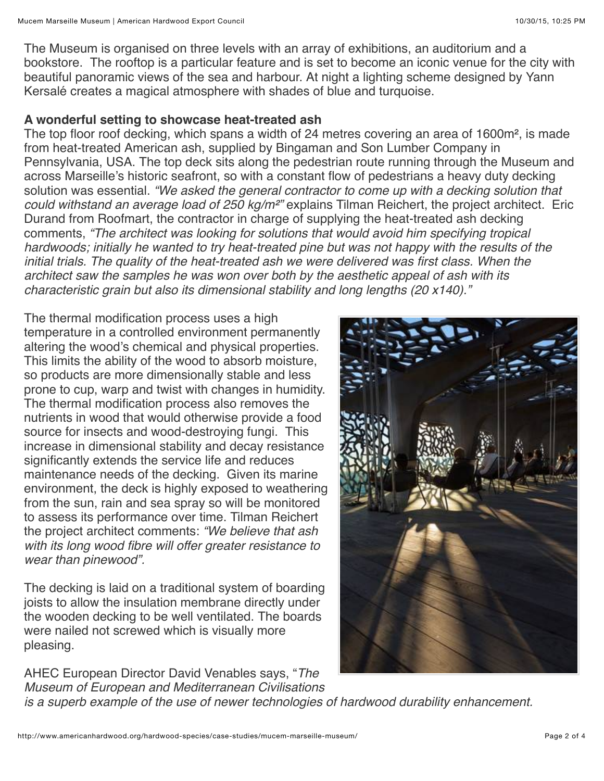The Museum is organised on three levels with an array of exhibitions, an auditorium and a bookstore. The rooftop is a particular feature and is set to become an iconic venue for the city with beautiful panoramic views of the sea and harbour. At night a lighting scheme designed by Yann Kersalé creates a magical atmosphere with shades of blue and turquoise.

### **A wonderful setting to showcase heat-treated ash**

The top floor roof decking, which spans a width of 24 metres covering an area of 1600m², is made from heat-treated American ash, supplied by Bingaman and Son Lumber Company in Pennsylvania, USA. The top deck sits along the pedestrian route running through the Museum and across Marseille's historic seafront, so with a constant flow of pedestrians a heavy duty decking solution was essential. *"We asked the general contractor to come up with a decking solution that could withstand an average load of 250 kg/m*²*"* explains Tilman Reichert, the project architect. Eric Durand from Roofmart, the contractor in charge of supplying the heat-treated ash decking comments, *"The architect was looking for solutions that would avoid him specifying tropical hardwoods; initially he wanted to try heat-treated pine but was not happy with the results of the initial trials. The quality of the heat-treated ash we were delivered was first class. When the architect saw the samples he was won over both by the aesthetic appeal of ash with its characteristic grain but also its dimensional stability and long lengths (20 x140)."* 

The thermal modification process uses a high temperature in a controlled environment permanently altering the wood's chemical and physical properties. This limits the ability of the wood to absorb moisture, so products are more dimensionally stable and less prone to cup, warp and twist with changes in humidity. The thermal modification process also removes the nutrients in wood that would otherwise provide a food source for insects and wood-destroying fungi. This increase in dimensional stability and decay resistance significantly extends the service life and reduces maintenance needs of the decking. Given its marine environment, the deck is highly exposed to weathering from the sun, rain and sea spray so will be monitored to assess its performance over time. Tilman Reichert the project architect comments: *"We believe that ash with its long wood fibre will offer greater resistance to wear than pinewood".* 

The decking is laid on a traditional system of boarding joists to allow the insulation membrane directly under the wooden decking to be well ventilated. The boards were nailed not screwed which is visually more pleasing.



AHEC European Director David Venables says, "*The Museum of European and Mediterranean Civilisations*

*is a superb example of the use of newer technologies of hardwood durability enhancement.*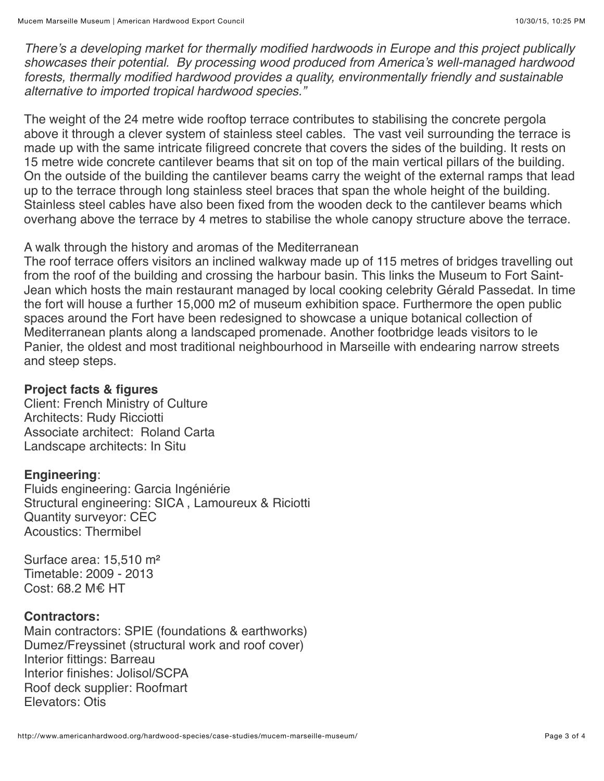*There's a developing market for thermally modified hardwoods in Europe and this project publically showcases their potential. By processing wood produced from America's well-managed hardwood forests, thermally modified hardwood provides a quality, environmentally friendly and sustainable alternative to imported tropical hardwood species."* 

The weight of the 24 metre wide rooftop terrace contributes to stabilising the concrete pergola above it through a clever system of stainless steel cables. The vast veil surrounding the terrace is made up with the same intricate filigreed concrete that covers the sides of the building. It rests on 15 metre wide concrete cantilever beams that sit on top of the main vertical pillars of the building. On the outside of the building the cantilever beams carry the weight of the external ramps that lead up to the terrace through long stainless steel braces that span the whole height of the building. Stainless steel cables have also been fixed from the wooden deck to the cantilever beams which overhang above the terrace by 4 metres to stabilise the whole canopy structure above the terrace.

#### A walk through the history and aromas of the Mediterranean

The roof terrace offers visitors an inclined walkway made up of 115 metres of bridges travelling out from the roof of the building and crossing the harbour basin. This links the Museum to Fort Saint-Jean which hosts the main restaurant managed by local cooking celebrity Gérald Passedat. In time the fort will house a further 15,000 m2 of museum exhibition space. Furthermore the open public spaces around the Fort have been redesigned to showcase a unique botanical collection of Mediterranean plants along a landscaped promenade. Another footbridge leads visitors to le Panier, the oldest and most traditional neighbourhood in Marseille with endearing narrow streets and steep steps.

### **Project facts & figures**

Client: French Ministry of Culture Architects: Rudy Ricciotti Associate architect: Roland Carta Landscape architects: In Situ

#### **Engineering**:

Fluids engineering: Garcia Ingéniérie Structural engineering: SICA , Lamoureux & Riciotti Quantity surveyor: CEC Acoustics: Thermibel

Surface area: 15,510 m² Timetable: 2009 - 2013 Cost: 68.2 M€ HT

## **Contractors:**

Main contractors: SPIE (foundations & earthworks) Dumez/Freyssinet (structural work and roof cover) Interior fittings: Barreau Interior finishes: Jolisol/SCPA Roof deck supplier: Roofmart Elevators: Otis